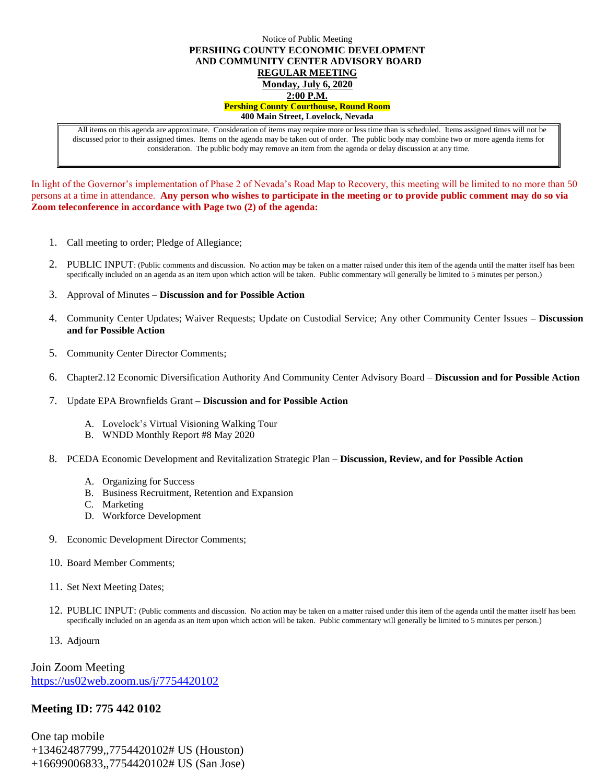## Notice of Public Meeting **PERSHING COUNTY ECONOMIC DEVELOPMENT AND COMMUNITY CENTER ADVISORY BOARD REGULAR MEETING Monday, July 6, 2020 2:00 P.M. Pershing County Courthouse, Round Room 400 Main Street, Lovelock, Nevada**

All items on this agenda are approximate. Consideration of items may require more or less time than is scheduled. Items assigned times will not be discussed prior to their assigned times. Items on the agenda may be taken out of order. The public body may combine two or more agenda items for consideration. The public body may remove an item from the agenda or delay discussion at any time.

In light of the Governor's implementation of Phase 2 of Nevada's Road Map to Recovery, this meeting will be limited to no more than 50 persons at a time in attendance. **Any person who wishes to participate in the meeting or to provide public comment may do so via Zoom teleconference in accordance with Page two (2) of the agenda:** 

- 1. Call meeting to order; Pledge of Allegiance;
- 2. PUBLIC INPUT: (Public comments and discussion. No action may be taken on a matter raised under this item of the agenda until the matter itself has been specifically included on an agenda as an item upon which action will be taken. Public commentary will generally be limited to 5 minutes per person.)
- 3. Approval of Minutes **Discussion and for Possible Action**
- 4. Community Center Updates; Waiver Requests; Update on Custodial Service; Any other Community Center Issues **– Discussion and for Possible Action**
- 5. Community Center Director Comments;
- 6. Chapter2.12 Economic Diversification Authority And Community Center Advisory Board **Discussion and for Possible Action**
- 7. Update EPA Brownfields Grant **– Discussion and for Possible Action**
	- A. Lovelock's Virtual Visioning Walking Tour
	- B. WNDD Monthly Report #8 May 2020
- 8. PCEDA Economic Development and Revitalization Strategic Plan **Discussion, Review, and for Possible Action**
	- A. Organizing for Success
	- B. Business Recruitment, Retention and Expansion
	- C. Marketing
	- D. Workforce Development
- 9. Economic Development Director Comments;
- 10. Board Member Comments;
- 11. Set Next Meeting Dates;
- 12. PUBLIC INPUT: (Public comments and discussion. No action may be taken on a matter raised under this item of the agenda until the matter itself has been specifically included on an agenda as an item upon which action will be taken. Public commentary will generally be limited to 5 minutes per person.)
- 13. Adjourn

Join Zoom Meeting <https://us02web.zoom.us/j/7754420102>

## **Meeting ID: 775 442 0102**

One tap mobile +13462487799,,7754420102# US (Houston) +16699006833,,7754420102# US (San Jose)